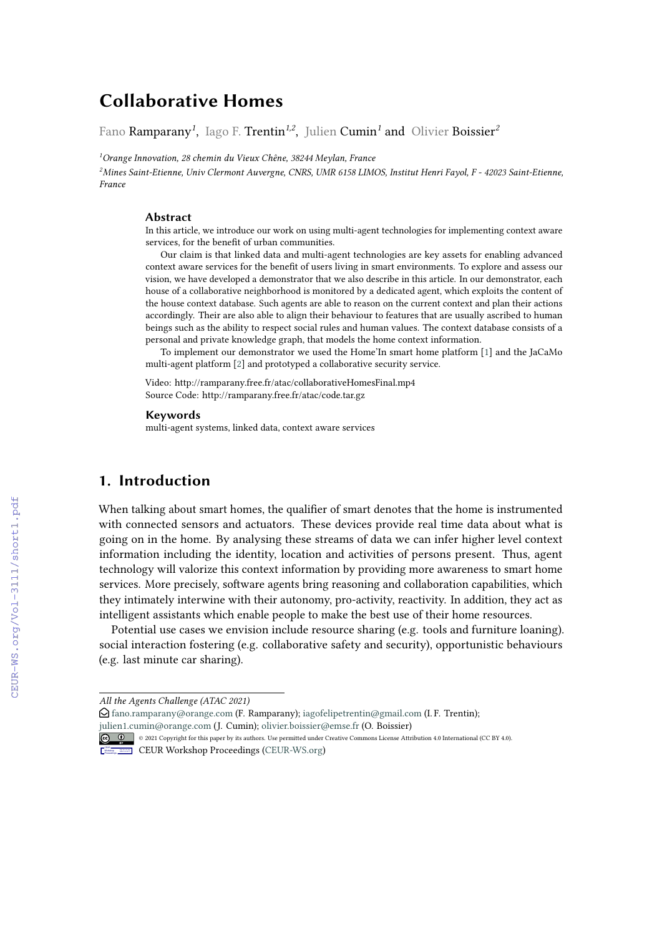# **Collaborative Homes**

Fano Ramparany<sup>1</sup>, Iago F. Trentin<sup>1,2</sup>, Julien Cumin<sup>1</sup> and Olivier Boissier<sup>2</sup>

*<sup>1</sup>Orange Innovation, 28 chemin du Vieux Chêne, 38244 Meylan, France*

*<sup>2</sup>Mines Saint-Etienne, Univ Clermont Auvergne, CNRS, UMR 6158 LIMOS, Institut Henri Fayol, F - 42023 Saint-Etienne, France*

#### **Abstract**

In this article, we introduce our work on using multi-agent technologies for implementing context aware services, for the benefit of urban communities.

Our claim is that linked data and multi-agent technologies are key assets for enabling advanced context aware services for the benefit of users living in smart environments. To explore and assess our vision, we have developed a demonstrator that we also describe in this article. In our demonstrator, each house of a collaborative neighborhood is monitored by a dedicated agent, which exploits the content of the house context database. Such agents are able to reason on the current context and plan their actions accordingly. Their are also able to align their behaviour to features that are usually ascribed to human beings such as the ability to respect social rules and human values. The context database consists of a personal and private knowledge graph, that models the home context information.

To implement our demonstrator we used the Home'In smart home platform [\[1\]](#page--1-0) and the JaCaMo multi-agent platform [\[2\]](#page--1-1) and prototyped a collaborative security service.

Video: http://ramparany.free.fr/atac/collaborativeHomesFinal.mp4 Source Code: http://ramparany.free.fr/atac/code.tar.gz

#### **Keywords**

multi-agent systems, linked data, context aware services

### **1. Introduction**

When talking about smart homes, the qualifier of smart denotes that the home is instrumented with connected sensors and actuators. These devices provide real time data about what is going on in the home. By analysing these streams of data we can infer higher level context information including the identity, location and activities of persons present. Thus, agent technology will valorize this context information by providing more awareness to smart home services. More precisely, software agents bring reasoning and collaboration capabilities, which they intimately interwine with their autonomy, pro-activity, reactivity. In addition, they act as intelligent assistants which enable people to make the best use of their home resources.

Potential use cases we envision include resource sharing (e.g. tools and furniture loaning). social interaction fostering (e.g. collaborative safety and security), opportunistic behaviours (e.g. last minute car sharing).

 $\bigcirc$  [fano.ramparany@orange.com](mailto:fano.ramparany@orange.com) (F. Ramparany); [iagofelipetrentin@gmail.com](mailto:iagofelipetrentin@gmail.com) (I. F. Trentin); [julien1.cumin@orange.com](mailto:julien1.cumin@orange.com) (J. Cumin); [olivier.boissier@emse.fr](mailto:olivier.boissier@emse.fr) (O. Boissier)

*All the Agents Challenge (ATAC 2021)*

<sup>© 2021</sup> Copyright for this paper by its authors. Use permitted under Creative Commons License Attribution 4.0 International (CC BY 4.0).

CEUR Workshop [Proceedings](http://ceur-ws.org) [\(CEUR-WS.org\)](http://ceur-ws.org)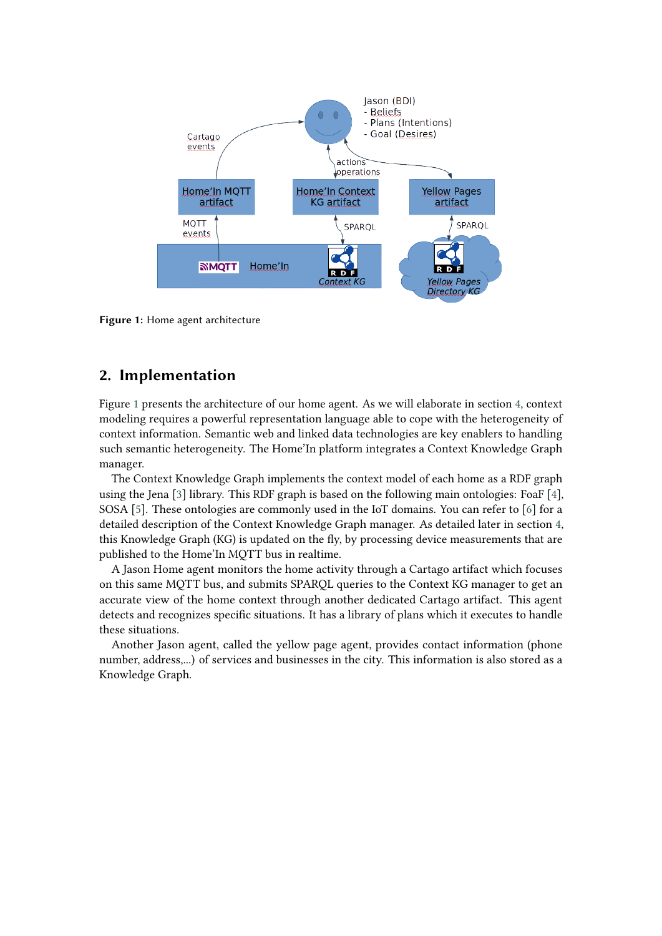

<span id="page-1-0"></span>**Figure 1:** Home agent architecture

### <span id="page-1-1"></span>**2. Implementation**

Figure [1](#page-1-0) presents the architecture of our home agent. As we will elaborate in section [4,](#page-4-0) context modeling requires a powerful representation language able to cope with the heterogeneity of context information. Semantic web and linked data technologies are key enablers to handling such semantic heterogeneity. The Home'In platform integrates a Context Knowledge Graph manager.

The Context Knowledge Graph implements the context model of each home as a RDF graph using the Jena [\[3\]](#page-5-0) library. This RDF graph is based on the following main ontologies: FoaF [\[4\]](#page-5-1), SOSA [\[5\]](#page-5-2). These ontologies are commonly used in the IoT domains. You can refer to [\[6\]](#page-5-3) for a detailed description of the Context Knowledge Graph manager. As detailed later in section [4,](#page-4-0) this Knowledge Graph (KG) is updated on the fly, by processing device measurements that are published to the Home'In MQTT bus in realtime.

A Jason Home agent monitors the home activity through a Cartago artifact which focuses on this same MQTT bus, and submits SPARQL queries to the Context KG manager to get an accurate view of the home context through another dedicated Cartago artifact. This agent detects and recognizes specific situations. It has a library of plans which it executes to handle these situations.

Another Jason agent, called the yellow page agent, provides contact information (phone number, address,...) of services and businesses in the city. This information is also stored as a Knowledge Graph.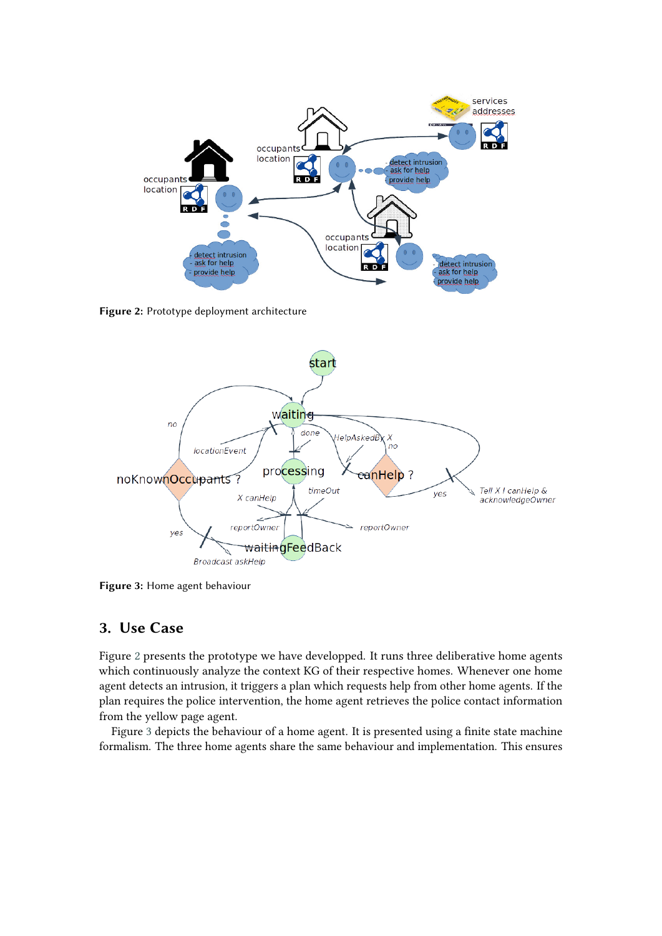

<span id="page-2-0"></span>**Figure 2:** Prototype deployment architecture



<span id="page-2-1"></span>**Figure 3:** Home agent behaviour

### <span id="page-2-2"></span>**3. Use Case**

Figure [2](#page-2-0) presents the prototype we have developped. It runs three deliberative home agents which continuously analyze the context KG of their respective homes. Whenever one home agent detects an intrusion, it triggers a plan which requests help from other home agents. If the plan requires the police intervention, the home agent retrieves the police contact information from the yellow page agent.

Figure [3](#page-2-1) depicts the behaviour of a home agent. It is presented using a finite state machine formalism. The three home agents share the same behaviour and implementation. This ensures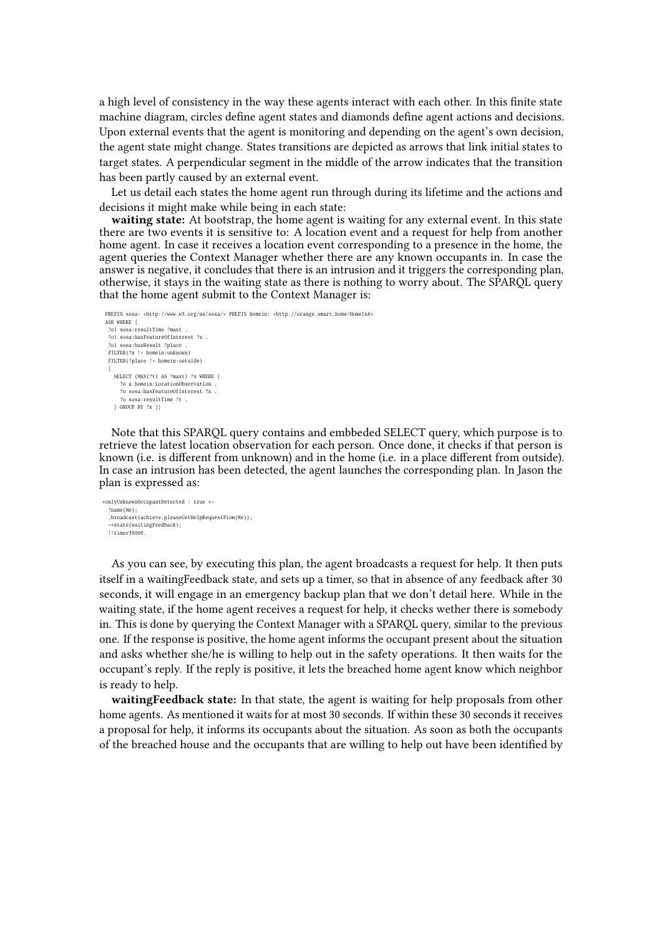a high level of consistency in the way these agents interact with each other. In this finite state machine diagram, circles define agent states and diamonds define agent actions and decisions. Upon external events that the agent is monitoring and depending on the agent's own decision, the agent state might change. States transitions are depicted as arrows that link initial states to target states. A perpendicular segment in the middle of the arrow indicates that the transition has been partly caused by an external event.

Let us detail each states the home agent run through during its lifetime and the actions and decisions it might make while being in each state:

**waiting state:** At bootstrap, the home agent is waiting for any external event. In this state there are two events it is sensitive to: A location event and a request for help from another home agent. In case it receives a location event corresponding to a presence in the home, the agent queries the Context Manager whether there are any known occupants in. In case the answer is negative, it concludes that there is an intrusion and it triggers the corresponding plan, otherwise, it stays in the waiting state as there is nothing to worry about. The SPARQL query that the home agent submit to the Context Manager is:

```
PREFIX sosa: <http://www.w3.org/ns/sosa/> PREFIX homein: <http://orange.smart.home/HomeIn#
ASK WHERE {
 ?o1 sosa:resultTime ?maxt .<br>?o1 sosa:hasFeatureOfInterest ?x .
 ?o1 sosa:hasResult ?place
 FILTER( ?x != home in: unknown)FILTER(?place != homein:outside)
   SELECT (MAY(2+) AS 2max<sup>+</sup>) 2x WHERE \ell20 a homein: Location Observation
     20 sosa : has Feature Of Interest ? x
       e sosa:resultTime ?t.
   \{ GROUP BY ?x \}
```
Note that this SPARQL query contains and embbeded SELECT query, which purpose is to retrieve the latest location observation for each person. Once done, it checks if that person is known (i.e. is different from unknown) and in the home (i.e. in a place different from outside). In case an intrusion has been detected, the agent launches the corresponding plan. In Jason the plan is expressed as:

```
+ only Un known OccupantDetected: true <? name(Me):
  . b roadcast (achieve, pleaseGetHelpRequest From (Me));
  -+state(waitingFeedback);
  !!timer30000
```
As you can see, by executing this plan, the agent broadcasts a request for help. It then puts itself in a waitingFeedback state, and sets up a timer, so that in absence of any feedback after 30 seconds, it will engage in an emergency backup plan that we don't detail here. While in the waiting state, if the home agent receives a request for help, it checks wether there is somebody in. This is done by querying the Context Manager with a SPARQL query, similar to the previous one. If the response is positive, the home agent informs the occupant present about the situation and asks whether she/he is willing to help out in the safety operations. It then waits for the occupant's reply. If the reply is positive, it lets the breached home agent know which neighbor is ready to help.

**waitingFeedback state:** In that state, the agent is waiting for help proposals from other home agents. As mentioned it waits for at most 30 seconds. If within these 30 seconds it receives a proposal for help, it informs its occupants about the situation. As soon as both the occupants of the breached house and the occupants that are willing to help out have been identified by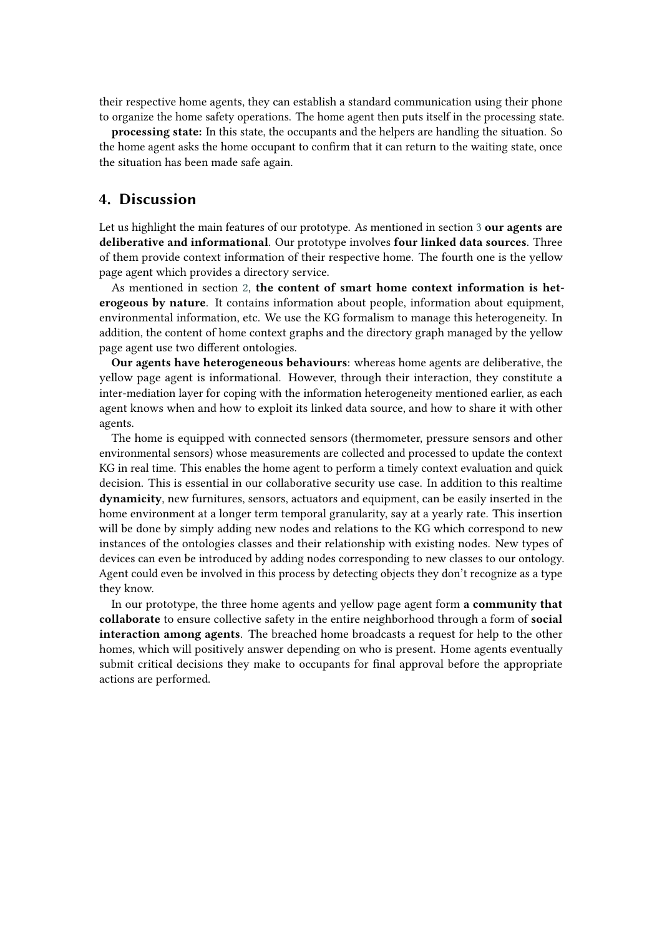their respective home agents, they can establish a standard communication using their phone to organize the home safety operations. The home agent then puts itself in the processing state.

**processing state:** In this state, the occupants and the helpers are handling the situation. So the home agent asks the home occupant to confirm that it can return to the waiting state, once the situation has been made safe again.

#### <span id="page-4-0"></span>**4. Discussion**

Let us highlight the main features of our prototype. As mentioned in section [3](#page-2-2) **our agents are deliberative and informational**. Our prototype involves **four linked data sources**. Three of them provide context information of their respective home. The fourth one is the yellow page agent which provides a directory service.

As mentioned in section [2,](#page-1-1) **the content of smart home context information is heterogeous by nature**. It contains information about people, information about equipment, environmental information, etc. We use the KG formalism to manage this heterogeneity. In addition, the content of home context graphs and the directory graph managed by the yellow page agent use two different ontologies.

**Our agents have heterogeneous behaviours**: whereas home agents are deliberative, the yellow page agent is informational. However, through their interaction, they constitute a inter-mediation layer for coping with the information heterogeneity mentioned earlier, as each agent knows when and how to exploit its linked data source, and how to share it with other agents.

The home is equipped with connected sensors (thermometer, pressure sensors and other environmental sensors) whose measurements are collected and processed to update the context KG in real time. This enables the home agent to perform a timely context evaluation and quick decision. This is essential in our collaborative security use case. In addition to this realtime **dynamicity**, new furnitures, sensors, actuators and equipment, can be easily inserted in the home environment at a longer term temporal granularity, say at a yearly rate. This insertion will be done by simply adding new nodes and relations to the KG which correspond to new instances of the ontologies classes and their relationship with existing nodes. New types of devices can even be introduced by adding nodes corresponding to new classes to our ontology. Agent could even be involved in this process by detecting objects they don't recognize as a type they know.

In our prototype, the three home agents and yellow page agent form **a community that collaborate** to ensure collective safety in the entire neighborhood through a form of **social interaction among agents**. The breached home broadcasts a request for help to the other homes, which will positively answer depending on who is present. Home agents eventually submit critical decisions they make to occupants for final approval before the appropriate actions are performed.